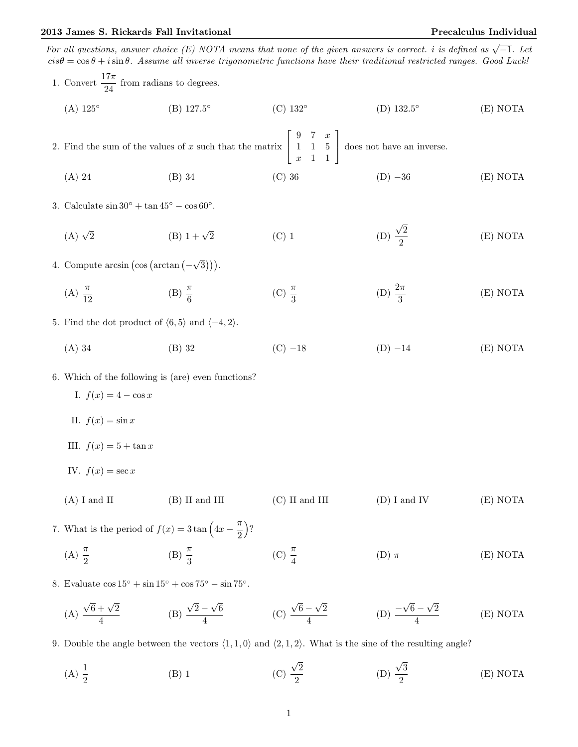2013 James S. Rickards Fall Invitational Precalculus Individual For all questions, answer choice (E) NOTA means that none of the given answers is correct. i is defined as  $\sqrt{-1}$ . Let  $cis\theta = \cos\theta + i\sin\theta$ . Assume all inverse trigonometric functions have their traditional restricted ranges. Good Luck! 1. Convert  $\frac{17\pi}{24}$  from radians to degrees.  $(A)$  125° (B) 127.5 ◦ (C) 132◦  $(D) 132.5^\circ$ (E) NOTA 2. Find the sum of the values of  $x$  such that the matrix  $\lceil$  $\overline{1}$ 9 7 x 1 1 5  $x \quad 1 \quad 1$ 1 does not have an inverse. (A) 24 (B) 34 (C) 36 (D) −36 (E) NOTA 3. Calculate  $\sin 30^\circ + \tan 45^\circ - \cos 60^\circ$ .  $(A)$   $\sqrt{2}$ (B)  $1 + \sqrt{2}$  $(C)$  1 √ 2 2 (E) NOTA 4. Compute  $arcsin (\cos (\arctan (-$ √  $\overline{3}$ )). (A)  $\frac{\pi}{12}$ (B)  $\frac{\pi}{6}$ (C)  $\frac{\pi}{3}$ (D)  $\frac{2\pi}{3}$ (E) NOTA 5. Find the dot product of  $\langle 6, 5 \rangle$  and  $\langle -4, 2 \rangle$ . (A) 34 (B) 32 (C) −18 (D) −14 (E) NOTA 6. Which of the following is (are) even functions? I.  $f(x) = 4 - \cos x$ II.  $f(x) = \sin x$ III.  $f(x) = 5 + \tan x$ IV.  $f(x) = \sec x$ (A) I and II (B) II and III (C) II and III (D) I and IV (E) NOTA 7. What is the period of  $f(x) = 3 \tan \left( 4x - \frac{\pi}{2} \right)$ 2  $\big)$ ? (A)  $\frac{\pi}{2}$ (B)  $\frac{\pi}{3}$ (C)  $\frac{\pi}{4}$ (D)  $\pi$  (E) NOTA 8. Evaluate  $\cos 15^\circ + \sin 15^\circ + \cos 75^\circ - \sin 75^\circ$ . (A)  $\sqrt{6} + \sqrt{2}$  $\frac{1}{4}$  (B) √  $2 -$ √ 6  $\frac{1}{4}$  (C) √  $6-$ √ 2  $\frac{-\sqrt{2}}{4}$  (D)  $\equiv$ √  $6 -$ √ 2 4 (E) NOTA 9. Double the angle between the vectors  $\langle 1, 1, 0 \rangle$  and  $\langle 2, 1, 2 \rangle$ . What is the sine of the resulting angle?

(A)  $\frac{1}{2}$  $(B)$  1 √ 2 2 (D) √ 3 2 (E) NOTA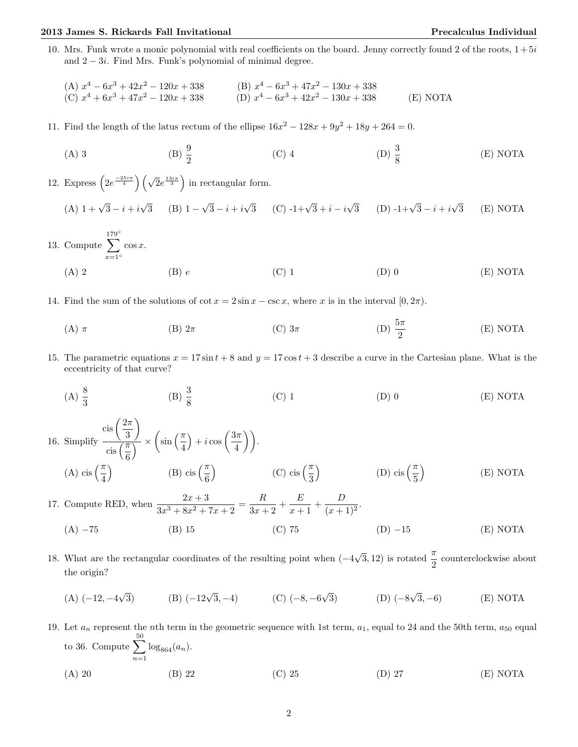## 2013 James S. Rickards Fall Invitational Precalculus Individual

10. Mrs. Funk wrote a monic polynomial with real coefficients on the board. Jenny correctly found 2 of the roots,  $1+5i$ and  $2 - 3i$ . Find Mrs. Funk's polynomial of minimal degree.

(A) 
$$
x^4 - 6x^3 + 42x^2 - 120x + 338
$$
  
\n(B)  $x^4 - 6x^3 + 47x^2 - 130x + 338$   
\n(C)  $x^4 + 6x^3 + 47x^2 - 120x + 338$   
\n(D)  $x^4 - 6x^3 + 42x^2 - 130x + 338$   
\n(E) NOTA

- 11. Find the length of the latus rectum of the ellipse  $16x^2 128x + 9y^2 + 18y + 264 = 0$ .
	- (A) 3 (B)  $\frac{9}{2}$ (C) 4 (D)  $\frac{3}{8}$ (E) NOTA

12. Express  $\left(2e^{\frac{-25i\pi}{4}}\right)\left(\sqrt{2}e^{\frac{13i\pi}{3}}\right)$  in rectangular form.

(A) 
$$
1 + \sqrt{3} - i + i\sqrt{3}
$$
 (B)  $1 - \sqrt{3} - i + i\sqrt{3}$  (C)  $-1 + \sqrt{3} + i - i\sqrt{3}$  (D)  $-1 + \sqrt{3} - i + i\sqrt{3}$  (E) NOTA

- 13. Compute  $\sum$  $x=1°$  $\cos x$ . (A) 2 (B) e (C) 1 (D) 0 (E) NOTA
- 14. Find the sum of the solutions of cot  $x = 2\sin x \csc x$ , where x is in the interval  $[0, 2\pi)$ .
	- (A)  $\pi$  (B)  $2\pi$  (C)  $3\pi$  (D)  $\frac{5\pi}{9}$ (D)  $\frac{5\pi}{2}$ (E) NOTA
- 15. The parametric equations  $x = 17 \sin t + 8$  and  $y = 17 \cos t + 3$  describe a curve in the Cartesian plane. What is the eccentricity of that curve?
	- (A)  $\frac{8}{3}$ (B)  $\frac{3}{8}$ (C) 1 (D) 0 (E) NOTA

16. Simplify  $\cosh\left(\frac{2\pi}{\alpha}\right)$ 3  $\setminus$  $\overline{\text{cis}\left(\frac{\pi}{6}\right)}$  $\frac{1}{\sqrt{2}} \times \left(\sin\left(\frac{\pi}{4}\right)\right)$  $+ i \cos \left( \frac{3\pi}{4} \right)$  $\left(\frac{3\pi}{4}\right)\bigg).$ (A) cis  $\left(\frac{\pi}{4}\right)$  $\setminus$ (B) cis  $\left(\frac{\pi}{6}\right)$  $\setminus$ (C) cis  $\left(\frac{\pi}{3}\right)$  $\setminus$ (D) cis  $\left(\frac{\pi}{5}\right)$  $\setminus$ (E) NOTA

17. Compute RED, when  $\frac{2x+3}{3x^3+8x^2+7x+2} = \frac{R}{3x+1}$  $\frac{R}{3x+2} + \frac{E}{x+}$  $\frac{E}{x+1} + \frac{D}{(x+1)}$  $\frac{E}{(x+1)^2}$ .

- (A)  $-75$  (B) 15 (C) 75 (D)  $-15$  (E) NOTA
- 18. What are the rectangular coordinates of the resulting point when (−4  $\sqrt{3}$ , 12) is rotated  $\frac{\pi}{2}$  counterclockwise about the origin?
	- $(A)$  (-12, -4  $\sqrt{3}$  (B)  $(-12\sqrt{3}, -4)$  (C)  $(-8, -6)$ √ 3) (D) (−8 √  $(E) NOTA$
- 19. Let  $a_n$  represent the nth term in the geometric sequence with 1st term,  $a_1$ , equal to 24 and the 50th term,  $a_{50}$  equal to 36. Compute  $\sum_{n=1}^{\infty}$  $n=1$  $\log_{864}(a_n)$ . (A) 20 (B) 22 (C) 25 (D) 27 (E) NOTA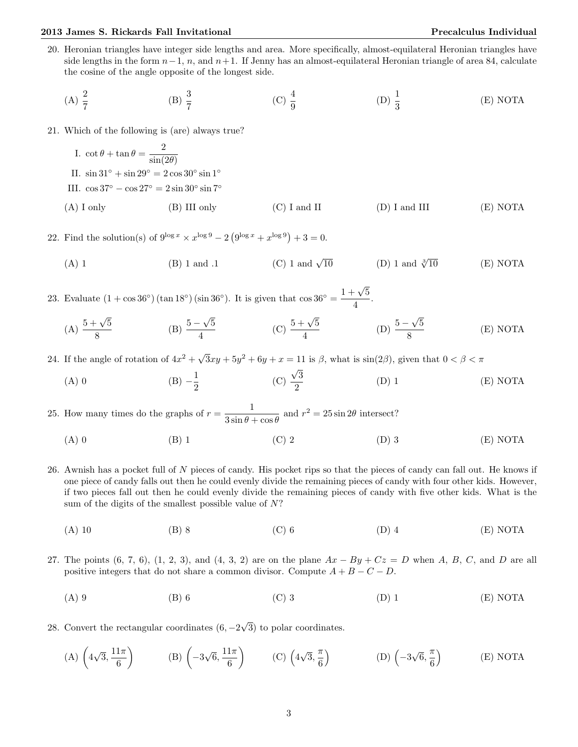20. Heronian triangles have integer side lengths and area. More specifically, almost-equilateral Heronian triangles have side lengths in the form  $n-1$ , n, and  $n+1$ . If Jenny has an almost-equilateral Heronian triangle of area 84, calculate the cosine of the angle opposite of the longest side.

(A) 
$$
\frac{2}{7}
$$
 \t\t (B)  $\frac{3}{7}$  \t\t (C)  $\frac{4}{9}$  \t\t (D)  $\frac{1}{3}$  \t\t (E) NOTA

21. Which of the following is (are) always true?

I. 
$$
\cot \theta + \tan \theta = \frac{2}{\sin(2\theta)}
$$
  
\nII.  $\sin 31^\circ + \sin 29^\circ = 2 \cos 30^\circ \sin 1^\circ$   
\nIII.  $\cos 37^\circ - \cos 27^\circ = 2 \sin 30^\circ \sin 7^\circ$   
\n(A) I only (B) III only (C) I and II (D) I and III (E) NOTA

22. Find the solution(s) of  $9^{\log x} \times x^{\log 9} - 2(9^{\log x} + x^{\log 9}) + 3 = 0$ .

(A) 1 (B) 1 and .1 (C) 1 and  $\sqrt{10}$ (D) 1 and  $\sqrt[3]{10}$  $(E) NOTA$ 

23. Evaluate  $(1 + \cos 36^\circ)$  (tan 18°) (sin 36°). It is given that  $\cos 36^\circ = \frac{1 + \sqrt{5}}{4}$  $\frac{1}{4}$ .

(A)  $\frac{5+\sqrt{5}}{2}$ 8  $(B) \frac{5-}{ }$ √ 5  $\frac{1}{4}$  (C)  $\frac{5+\sqrt{5}}{4}$  $\frac{-\sqrt{5}}{4}$  (D)  $\frac{5-}{8}$ √ 5 8 (E) NOTA

24. If the angle of rotation of  $4x^2 + \sqrt{ }$  $3xy + 5y^2 + 6y + x = 11$  is  $\beta$ , what is  $\sin(2\beta)$ , given that  $0 < \beta < \pi$ √

(A) 0 (B)  $-\frac{1}{2}$  $\frac{1}{2}$  (C)  $\frac{\sqrt{3}}{2}$ 2 (D) 1 (E) NOTA

25. How many times do the graphs of  $r = \frac{1}{2 \cdot 10^{10}}$  $\frac{1}{3\sin\theta + \cos\theta}$  and  $r^2 = 25\sin 2\theta$  intersect?

- (A) 0 (B) 1 (C) 2 (D) 3 (E) NOTA
- 26. Awnish has a pocket full of N pieces of candy. His pocket rips so that the pieces of candy can fall out. He knows if one piece of candy falls out then he could evenly divide the remaining pieces of candy with four other kids. However, if two pieces fall out then he could evenly divide the remaining pieces of candy with five other kids. What is the sum of the digits of the smallest possible value of  $N$ ?
	- (A) 10 (B) 8 (C) 6 (D) 4 (E) NOTA
- 27. The points  $(6, 7, 6)$ ,  $(1, 2, 3)$ , and  $(4, 3, 2)$  are on the plane  $Ax By + Cz = D$  when A, B, C, and D are all positive integers that do not share a common divisor. Compute  $A + B - C - D$ .
	- (A) 9 (B) 6 (C) 3 (D) 1 (E) NOTA

28. Convert the rectangular coordinates (6, −2 √ 3) to polar coordinates.

(A) 
$$
\left(4\sqrt{3}, \frac{11\pi}{6}\right)
$$
 \t(B)  $\left(-3\sqrt{6}, \frac{11\pi}{6}\right)$  \t(C)  $\left(4\sqrt{3}, \frac{\pi}{6}\right)$  \t(D)  $\left(-3\sqrt{6}, \frac{\pi}{6}\right)$  \t(E) NOTA